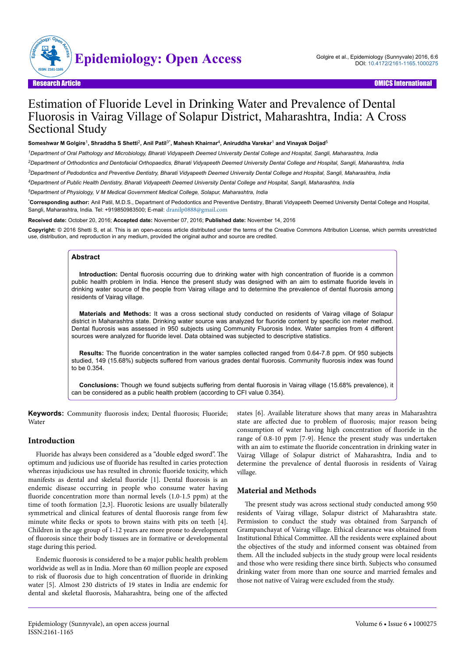

# Estimation of Fluoride Level in Drinking Water and Prevalence of Dental Fluorosis in Vairag Village of Solapur District, Maharashtra, India: A Cross Sectional Study

#### $S$ omeshwar M Golgire<sup>1</sup>, Shraddha S Shetti<sup>2</sup>, Anil Patil<sup>3\*</sup>, Mahesh Khairnar<sup>4</sup>, Aniruddha Varekar<sup>1</sup> and Vinayak Doijad<sup>5</sup>

*<sup>1</sup>Department of Oral Pathology and Microbiology, Bharati Vidyapeeth Deemed University Dental College and Hospital, Sangli, Maharashtra, India*

*<sup>2</sup>Department of Orthodontics and Dentofacial Orthopaedics, Bharati Vidyapeeth Deemed University Dental College and Hospital, Sangli, Maharashtra, India*

*<sup>3</sup>Department of Pedodontics and Preventive Dentistry, Bharati Vidyapeeth Deemed University Dental College and Hospital, Sangli, Maharashtra, India*

*<sup>4</sup>Department of Public Health Dentistry, Bharati Vidyapeeth Deemed University Dental College and Hospital, Sangli, Maharashtra, India*

*<sup>5</sup>Department of Physiology, V M Medical Government Medical College, Solapur, Maharashtra, India*

\***Corresponding author:** Anil Patil, M.D.S., Department of Pedodontics and Preventive Dentistry, Bharati Vidyapeeth Deemed University Dental College and Hospital, Sangli, Maharashtra, India. Tel: +919850983500; E-mail: [dranilp0888@gmail.com](mailto:dranilp0888@gmail.com)

**Received date:** October 20, 2016; **Accepted date:** November 07, 2016; **Published date:** November 14, 2016

**Copyright:** © 2016 Shetti S, et al. This is an open-access article distributed under the terms of the Creative Commons Attribution License, which permits unrestricted use, distribution, and reproduction in any medium, provided the original author and source are credited.

#### **Abstract**

**Introduction:** Dental fluorosis occurring due to drinking water with high concentration of fluoride is a common public health problem in India. Hence the present study was designed with an aim to estimate fluoride levels in drinking water source of the people from Vairag village and to determine the prevalence of dental fluorosis among residents of Vairag village.

**Materials and Methods:** It was a cross sectional study conducted on residents of Vairag village of Solapur district in Maharashtra state. Drinking water source was analyzed for fluoride content by specific ion meter method. Dental fluorosis was assessed in 950 subjects using Community Fluorosis Index. Water samples from 4 different sources were analyzed for fluoride level. Data obtained was subjected to descriptive statistics.

**Results:** The fluoride concentration in the water samples collected ranged from 0.64-7.8 ppm. Of 950 subjects studied, 149 (15.68%) subjects suffered from various grades dental fluorosis. Community fluorosis index was found to be 0.354.

**Conclusions:** Though we found subjects suffering from dental fluorosis in Vairag village (15.68% prevalence), it can be considered as a public health problem (according to CFI value 0.354).

Keywords: Community fluorosis index; Dental fluorosis; Fluoride; Water

## **Introduction**

Fluoride has always been considered as a "double edged sword". Нe optimum and judicious use of fluoride has resulted in caries protection whereas injudicious use has resulted in chronic fluoride toxicity, which manifests as dental and skeletal fluoride [1]. Dental fluorosis is an endemic disease occurring in people who consume water having fluoride concentration more than normal levels  $(1.0-1.5$  ppm) at the time of tooth formation [2,3]. Fluorotic lesions are usually bilaterally symmetrical and clinical features of dental fluorosis range from few minute white flecks or spots to brown stains with pits on teeth [4]. Children in the age group of 1-12 years are more prone to development of fluorosis since their body tissues are in formative or developmental stage during this period.

Endemic fluorosis is considered to be a major public health problem worldwide as well as in India. More than 60 million people are exposed to risk of fluorosis due to high concentration of fluoride in drinking water [5]. Almost 230 districts of 19 states in India are endemic for dental and skeletal fluorosis, Maharashtra, being one of the affected

states [6]. Available literature shows that many areas in Maharashtra state are affected due to problem of fluorosis; major reason being consumption of water having high concentration of fluoride in the range of 0.8-10 ppm [7-9]. Hence the present study was undertaken with an aim to estimate the fluoride concentration in drinking water in Vairag Village of Solapur district of Maharashtra, India and to determine the prevalence of dental fluorosis in residents of Vairag village.

# **Material and Methods**

The present study was across sectional study conducted among 950 residents of Vairag village, Solapur district of Maharashtra state. Permission to conduct the study was obtained from Sarpanch of Grampanchayat of Vairag village. Ethical clearance was obtained from Institutional Ethical Committee. All the residents were explained about the objectives of the study and informed consent was obtained from them. All the included subjects in the study group were local residents and those who were residing there since birth. Subjects who consumed drinking water from more than one source and married females and those not native of Vairag were excluded from the study.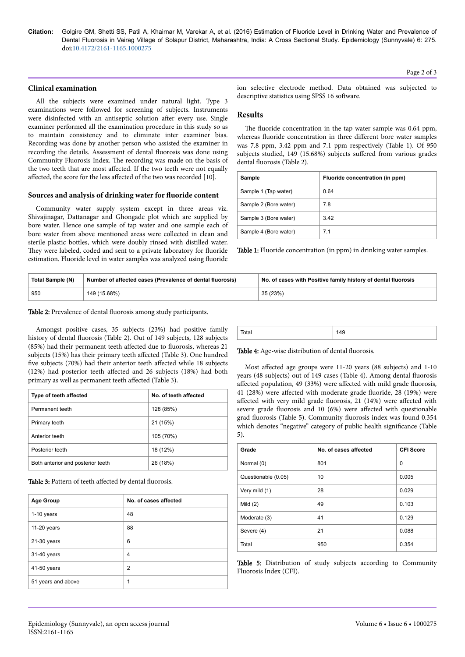**Citation:** Golgire GM, Shetti SS, Patil A, Khairnar M, Varekar A, et al. (2016) Estimation of Fluoride Level in Drinking Water and Prevalence of Dental Fluorosis in Vairag Village of Solapur District, Maharashtra, India: A Cross Sectional Study. Epidemiology (Sunnyvale) 6: 275. doi:10.4172/2161-1165.1000275

### **Clinical examination**

All the subjects were examined under natural light. Type 3 examinations were followed for screening of subjects. Instruments were disinfected with an antiseptic solution after every use. Single examiner performed all the examination procedure in this study so as to maintain consistency and to eliminate inter examiner bias. Recording was done by another person who assisted the examiner in recording the details. Assessment of dental fluorosis was done using Community Fluorosis Index. Нe recording was made on the basis of the two teeth that are most affected. If the two teeth were not equally affected, the score for the less affected of the two was recorded [10].

#### **Sources and analysis of drinking water for fluoride content**

Community water supply system except in three areas viz. Shivajinagar, Dattanagar and Ghongade plot which are supplied by bore water. Hence one sample of tap water and one sample each of bore water from above mentioned areas were collected in clean and sterile plastic bottles, which were doubly rinsed with distilled water. They were labeled, coded and sent to a private laboratory for fluoride estimation. Fluoride level in water samples was analyzed using fluoride

ion selective electrode method. Data obtained was subjected to descriptive statistics using SPSS 16 software.

## **Results**

The fluoride concentration in the tap water sample was 0.64 ppm, whereas fluoride concentration in three different bore water samples was 7.8 ppm, 3.42 ppm and 7.1 ppm respectively (Table 1). Of 950 subjects studied, 149 (15.68%) subjects suffered from various grades dental fluorosis (Table 2).

| Sample                | Fluoride concentration (in ppm) |
|-----------------------|---------------------------------|
| Sample 1 (Tap water)  | 0.64                            |
| Sample 2 (Bore water) | 7.8                             |
| Sample 3 (Bore water) | 3.42                            |
| Sample 4 (Bore water) | 7.1                             |

Table 1: Fluoride concentration (in ppm) in drinking water samples.

| Total Sample (N) | Number of affected cases (Prevalence of dental fluorosis) | No. of cases with Positive family history of dental fluorosis |
|------------------|-----------------------------------------------------------|---------------------------------------------------------------|
| 950              | 149 (15.68%)                                              | 35 (23%)                                                      |

## Table 2: Prevalence of dental fluorosis among study participants.

Amongst positive cases, 35 subjects (23%) had positive family history of dental fluorosis (Table 2). Out of 149 subjects, 128 subjects  $(85%)$  had their permanent teeth affected due to fluorosis, whereas 21 subjects (15%) has their primary teeth affected (Table 3). One hundred five subjects (70%) had their anterior teeth affected while 18 subjects (12%) had posterior teeth affected and 26 subjects (18%) had both primary as well as permanent teeth affected (Table 3).

| Type of teeth affected            | No. of teeth affected |
|-----------------------------------|-----------------------|
| Permanent teeth                   | 128 (85%)             |
| Primary teeth                     | 21 (15%)              |
| Anterior teeth                    | 105 (70%)             |
| Posterior teeth                   | 18 (12%)              |
| Both anterior and posterior teeth | 26 (18%)              |

Table 3: Pattern of teeth affected by dental fluorosis.

| <b>Age Group</b>   | No. of cases affected |
|--------------------|-----------------------|
| 1-10 years         | 48                    |
| 11-20 years        | 88                    |
| 21-30 years        | 6                     |
| 31-40 years        | 4                     |
| 41-50 years        | 2                     |
| 51 years and above |                       |

| วta |  |  |  |  |
|-----|--|--|--|--|
|-----|--|--|--|--|

Table 4: Age-wise distribution of dental fluorosis.

Most affected age groups were 11-20 years (88 subjects) and 1-10 years (48 subjects) out of 149 cases (Table 4). Among dental fluorosis affected population, 49 (33%) were affected with mild grade fluorosis, 41 (28%) were affected with moderate grade fluoride, 28 (19%) were affected with very mild grade fluorosis, 21 (14%) were affected with severe grade fluorosis and 10 (6%) were affected with questionable grad fluorosis (Table 5). Community fluorosis index was found 0.354 which denotes "negative" category of public health significance (Table 5).

| Grade               | No. of cases affected | <b>CFI Score</b> |
|---------------------|-----------------------|------------------|
| Normal (0)          | 801                   | $\Omega$         |
| Questionable (0.05) | 10                    | 0.005            |
| Very mild (1)       | 28                    | 0.029            |
| Mild $(2)$          | 49                    | 0.103            |
| Moderate (3)        | 41                    | 0.129            |
| Severe (4)          | 21                    | 0.088            |
| Total               | 950                   | 0.354            |

Table 5: Distribution of study subjects according to Community Fluorosis Index (CFI).